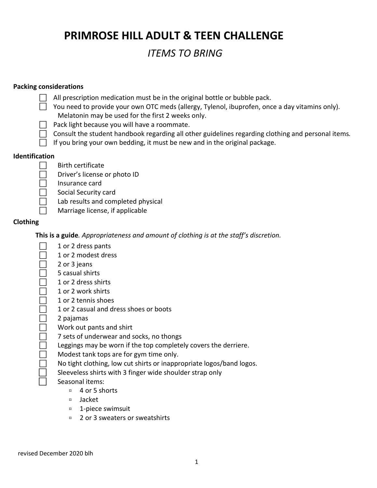**PRIMROSE HILL ADULT & TEEN CHALLENGE**

# *ITEMS TO BRING*

#### **Packing considerations**

| All prescription medication must be in the original bottle or bubble pack. |  |
|----------------------------------------------------------------------------|--|
|----------------------------------------------------------------------------|--|

| You need to provide your own OTC meds (allergy, Tylenol, ibuprofen, once a day vitamins only). |
|------------------------------------------------------------------------------------------------|
| Melatonin may be used for the first 2 weeks only.                                              |

- $\Box$  Pack light because you will have a roommate.
- ⃞Consult the student handbook regarding all other guidelines regarding clothing and personal items*.*
- $\Box$  If you bring your own bedding, it must be new and in the original package.

#### **Identification**

- $\Box$  Birth certificate
	- ⃞ Driver's license or photo ID
	- ⃞ Insurance card
	- ⃞ Social Security card
	- Lab results and completed physical
	- ⃞ Marriage license, if applicable

#### **Clothing**

**This is a guide***. Appropriateness and amount of clothing is at the staff's discretion.*

- ⃞ 1 or 2 dress pants
- ⃞ 1 or 2 modest dress
- ⃞ 2 or 3 jeans
- ⃞ 5 casual shirts
- ⃞ 1 or 2 dress shirts
- ⃞ 1 or 2 work shirts
- ⃞ 1 or 2 tennis shoes
- ⃞ 1 or 2 casual and dress shoes or boots
- ⃞ 2 pajamas
- ⃞ Work out pants and shirt
- ⃞ 7 sets of underwear and socks, no thongs
- Leggings may be worn if the top completely covers the derriere.
- ⃞ Modest tank tops are for gym time only.
- No tight clothing, low cut shirts or inappropriate logos/band logos.
- Sleeveless shirts with 3 finger wide shoulder strap only
- Seasonal items:
	- $\Box$  4 or 5 shorts
	- ⌑ Jacket
	- ⌑ 1-piece swimsuit
	- ⌑ 2 or 3 sweaters or sweatshirts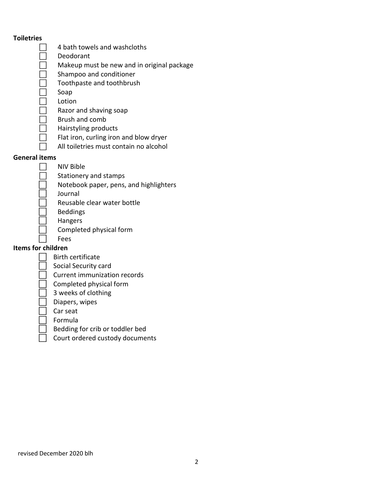#### **Toiletries**

- ⃞ 4 bath towels and washcloths
- Deodorant
- ⃞ Makeup must be new and in original package
- Shampoo and conditioner
- ⃞ Toothpaste and toothbrush
- Soap
- **Lotion**
- ⃞ Razor and shaving soap
- ⃞ Brush and comb
- ⃞ Hairstyling products
- Flat iron, curling iron and blow dryer
	- ⃞ All toiletries must contain no alcohol

#### **General items**

- ⃞ NIV Bible
- Stationery and stamps
- ⃞ Notebook paper, pens, and highlighters
- **Journal**
- ⃞ Reusable clear water bottle
- **Beddings**
- **Hangers**
- ⃞ Completed physical form
- **Fees**

## **Items for children**

- ⃞Birth certificate
- Social Security card
- ⃞Current immunization records
- ⃞Completed physical form
- ⃞3 weeks of clothing
- ⃞Diapers, wipes
- ⃞Car seat
- ⃞Formula
- ⃞Bedding for crib or toddler bed
- ⃞Court ordered custody documents